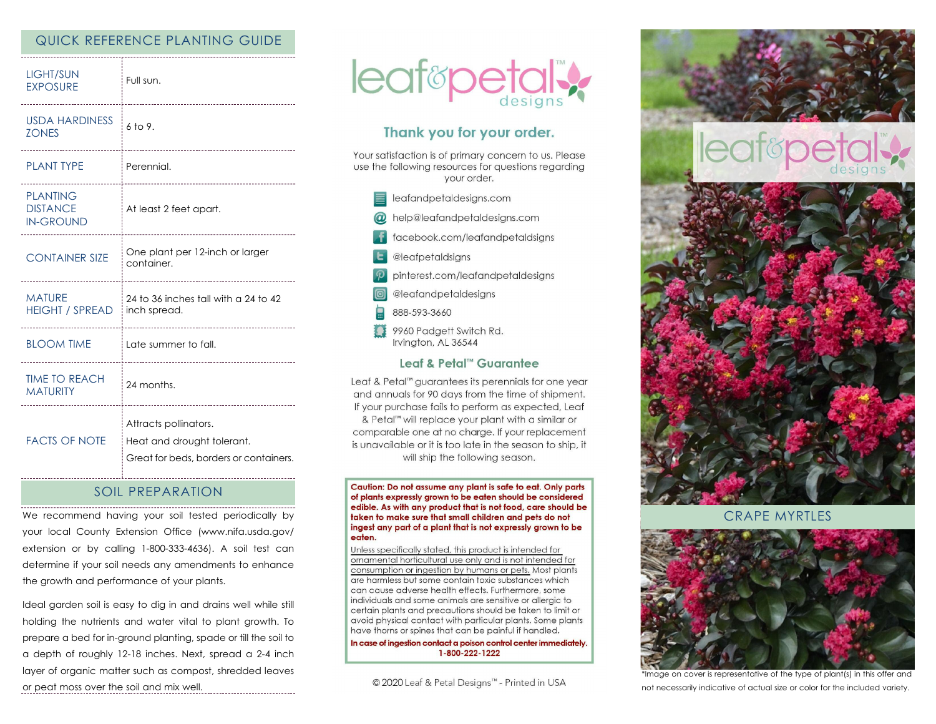# QUICK REFERENCE PLANTING GUIDE

| LIGHT/SUN<br><b>EXPOSURE</b><br>----------             | Full sun.                                                                                     |
|--------------------------------------------------------|-----------------------------------------------------------------------------------------------|
| USDA HARDINESS<br><b>ZONES</b>                         | $6$ to 9.                                                                                     |
| <b>PLANT TYPE</b>                                      | Perennial.                                                                                    |
| <b>PLANTING</b><br><b>DISTANCE</b><br><b>IN-GROUND</b> | At least 2 feet apart.<br>-------------------------------                                     |
| <b>CONTAINER SIZE</b>                                  | One plant per 12-inch or larger<br>container.                                                 |
| <b>MATURE</b><br><b>HEIGHT / SPREAD</b>                | 24 to 36 inches tall with a 24 to 42<br>inch spread.<br>                                      |
| <b>BLOOM TIME</b>                                      | Late summer to fall.                                                                          |
| <b>TIME TO REACH</b><br><b>MATURITY</b><br>            | 24 months.                                                                                    |
| <b>FACTS OF NOTE</b>                                   | Attracts pollinators.<br>Heat and drought tolerant.<br>Great for beds, borders or containers. |

## SOIL PREPARATION

We recommend having your soil tested periodically by your local County Extension Office (www.nifa.usda.gov/ extension or by calling 1-800-333-4636). A soil test can determine if your soil needs any amendments to enhance the growth and performance of your plants.

Ideal garden soil is easy to dig in and drains well while still holding the nutrients and water vital to plant growth. To prepare a bed for in-ground planting, spade or till the soil to a depth of roughly 12-18 inches. Next, spread a 2-4 inch layer of organic matter such as compost, shredded leaves or peat moss over the soil and mix well.



# Thank you for your order.

Your satisfaction is of primary concern to us. Please use the following resources for questions regarding your order.

- $\equiv$  leafandpetaldesigns.com @ help@leafandpetaldesigns.com facebook.com/leafandpetaldsigns **L** @leafpetaldsigns pinterest.com/leafandpetaldesigns @leafandpetaldesigns
- 888-593-3660
- 9960 Padgett Switch Rd. Irvington, AL 36544

#### Leaf & Petal™ Guarantee

Leaf & Petal™ guarantees its perennials for one year and annuals for 90 days from the time of shipment. If your purchase fails to perform as expected, Leaf & Petal<sup>™</sup> will replace your plant with a similar or comparable one at no charge. If your replacement is unavailable or it is too late in the season to ship, it will ship the following season.

Caution: Do not assume any plant is safe to eat. Only parts of plants expressly grown to be eaten should be considered edible. As with any product that is not food, care should be taken to make sure that small children and pets do not ingest any part of a plant that is not expressly grown to be eaten.

Unless specifically stated, this product is intended for ornamental horticultural use only and is not intended for consumption or ingestion by humans or pets. Most plants are harmless but some contain toxic substances which can cause adverse health effects. Furthermore, some individuals and some animals are sensitive or allergic to certain plants and precautions should be taken to limit or avoid physical contact with particular plants. Some plants have thorns or spines that can be painful if handled.

In case of ingestion contact a poison control center immediately. 1-800-222-1222

© 2020 Leaf & Petal Designs™ - Printed in USA



CRAPE MYRTLES



\*Image on cover is representative of the type of plant(s) in this offer and not necessarily indicative of actual size or color for the included variety.